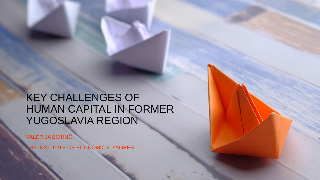# KEY CHALLENGES OF HUMAN CAPITAL IN FORMER YUGOSLAVIA REGION

VALERIJA BOTRIĆ

THE INSTITUTE OF ECONOMICS, ZAGREB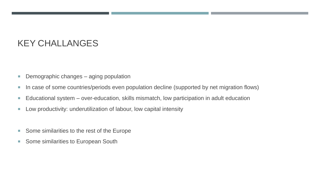## KEY CHALLANGES

- **Demographic changes aging population**
- In case of some countries/periods even population decline (supported by net migration flows)
- Educational system over-education, skills mismatch, low participation in adult education
- **Low productivity: underutilization of labour, low capital intensity**
- Some similarities to the rest of the Europe
- Some similarities to European South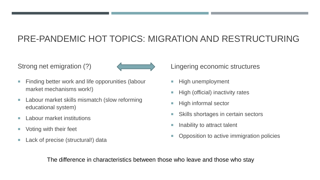# PRE-PANDEMIC HOT TOPICS: MIGRATION AND RESTRUCTURING

Strong net emigration (?)



- **Finding better work and life opporunities (labour** market mechanisms work!)
- **Labour market skills mismatch (slow reforming** educational system)
- **Labour market institutions**
- **Voting with their feet**
- Lack of precise (structural!) data

Lingering economic structures

- High unemployment
- High (official) inactivity rates
- High informal sector
- Skills shortages in certain sectors
- Inability to attract talent
- Opposition to active immigration policies

The difference in characteristics between those who leave and those who stay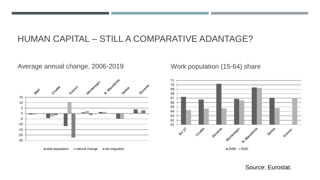#### HUMAN CAPITAL – STILL A COMPARATIVE ADANTAGE?

#### Average annual change, 2006-2019 Vork population (15-64) share



 $\blacksquare$  total population  $\blacksquare$  natural change  $\blacksquare$  net migration

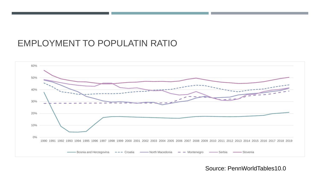#### EMPLOYMENT TO POPULATIN RATIO



Source: PennWorldTables10.0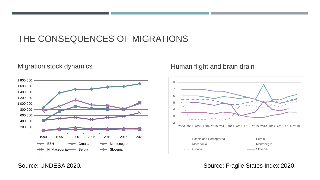### THE CONSEQUENCES OF MIGRATIONS



#### Migration stock dynamics Migration stock dynamics and brain drain drain drain drain drain



Source: UNDESA 2020. Source: Fragile States Index 2020.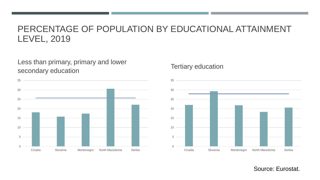#### PERCENTAGE OF POPULATION BY EDUCATIONAL ATTAINMENT LEVEL, 2019

Less than primary, primary and lower secondary education



#### Tertiary education

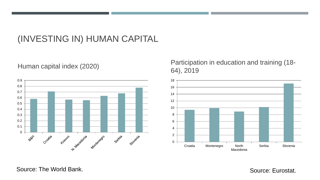## (INVESTING IN) HUMAN CAPITAL



#### Human capital index (2020) Participation in education and training (18-<br>  $64$ , 2010 64), 2019



Source: The World Bank.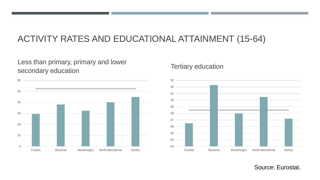## ACTIVITY RATES AND EDUCATIONAL ATTAINMENT (15-64)

#### Less than primary, primary and lower secondary education



#### Tertiary education

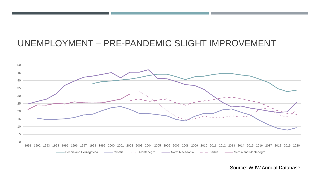### UNEMPLOYMENT – PRE-PANDEMIC SLIGHT IMPROVEMENT



Source: WIIW Annual Database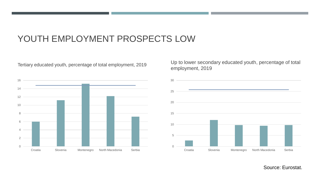### YOUTH EMPLOYMENT PROSPECTS LOW

 Croatia Slovenia Montenegro North Macedonia Serbia

Tertiary educated youth, percentage of total employment, 2019

Up to lower secondary educated youth, percentage of total employment, 2019

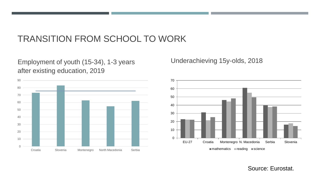### TRANSITION FROM SCHOOL TO WORK

Employment of youth (15-34), 1-3 years after existing education, 2019

Underachieving 15y-olds, 2018



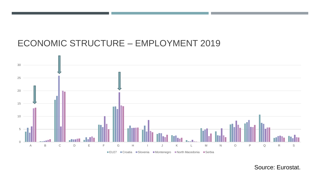#### ECONOMIC STRUCTURE – EMPLOYMENT 2019

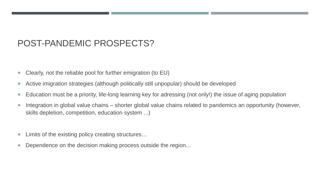### POST-PANDEMIC PROSPECTS?

- Clearly, not the reliable pool for further emigration (to EU)
- Active imigration strategies (although politically still unpopular) should be developed
- Education must be a priority, life-long learning key for adressing (not only!) the issue of aging population
- **Integration in global value chains shorter global value chains related to pandemics an opportunity (however,** skills depletion, competition, education system ...)
- Limits of the existing policy creating structures...
- Dependence on the decision making process outside the region...